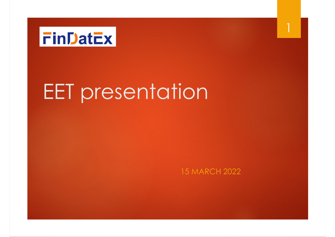

# EET presentation

15 MARCH 2022

1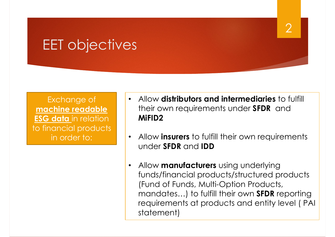# EET objectives

Exchange of **machine readable ESG data** in relation to financial products in order to:

• Allow **distributors and intermediaries** to fulfill their own requirements under **SFDR** and **MiFID2**

 $\mathcal{P}$ 

- Allow **insurers** to fulfill their own requirements under **SFDR** and **IDD**
- Allow **manufacturers** using underlying funds/financial products/structured products (Fund of Funds, Multi-Option Products, mandates…) to fulfill their own **SFDR** reporting requirements at products and entity level ( PAI statement)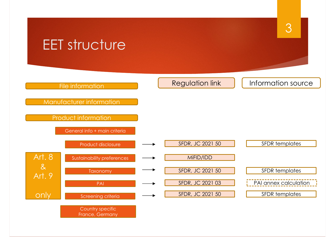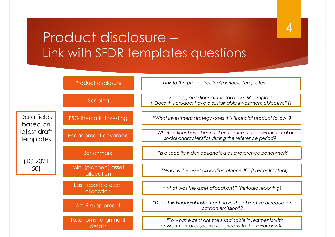## Product disclosure – Link with SFDR templates questions

4

|                                                      | Product disclosure                   | Link to the precontractual/periodic templates                                                                      |  |  |
|------------------------------------------------------|--------------------------------------|--------------------------------------------------------------------------------------------------------------------|--|--|
|                                                      | Scoping                              | Scoping questions at the top of SFDR template<br>("Does this product have a sustainable investment objective"?)    |  |  |
| Data fields<br>based on<br>latest draft<br>templates | <b>ESG thematic investing</b>        | "What investment strategy does this financial product follow"?                                                     |  |  |
|                                                      | Engagement coverage                  | "What actions have been taken to meet the environmental or<br>social characteristics during the reference period?" |  |  |
| (JC 2021<br>50)                                      | <b>Benchmark</b>                     | "Is a specific index designated as a reference benchmark""                                                         |  |  |
|                                                      | Min. (planned) asset<br>allocation   | "What is the asset allocation planned?" (Precontractual)                                                           |  |  |
|                                                      | Last reported asset<br>allocation    | "What was the asset allocation?" (Periodic reporting)                                                              |  |  |
|                                                      | Art. 9 supplement                    | "Does this Financial Instrument have the objective of reduction in<br>carbon emission"?                            |  |  |
|                                                      | <b>Taxonomy alignment</b><br>details | "To what extent are the sustainable investments with<br>environmental objectives aligned with the Taxonomy?"       |  |  |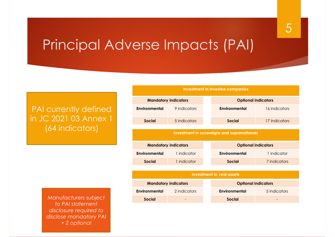### Principal Adverse Impacts (PAI)

#### PAI currently defined in JC 2021 03 Annex 1 (64 indicators)

| <b>Investment in investee companies</b>            |              |  |                            |               |  |  |  |
|----------------------------------------------------|--------------|--|----------------------------|---------------|--|--|--|
| <b>Mandatory indicators</b>                        |              |  | <b>Optional indicators</b> |               |  |  |  |
| Environmental                                      | 9 indicators |  | <b>Environmental</b>       | 16 indicators |  |  |  |
| <b>Social</b>                                      | 5 indicators |  | Social                     | 17 indicators |  |  |  |
|                                                    |              |  |                            |               |  |  |  |
| <b>Investment in sovereigns and supranationals</b> |              |  |                            |               |  |  |  |
| <b>Mandatory indicators</b>                        |              |  | <b>Optional indicators</b> |               |  |  |  |
| <b>Environmental</b>                               | 1 indicator  |  | <b>Environmental</b>       | 1 indicator   |  |  |  |
| <b>Social</b>                                      | 1 indicator  |  | Social                     | 7 indicators  |  |  |  |
|                                                    |              |  |                            |               |  |  |  |
| Investment in real assets                          |              |  |                            |               |  |  |  |
| <b>Mandatory indicators</b>                        |              |  | <b>Optional indicators</b> |               |  |  |  |
| <b>Environmental</b>                               | 2 indicators |  | <b>Environmental</b>       | 5 indicators  |  |  |  |
| <b>Social</b>                                      |              |  | <b>Social</b>              |               |  |  |  |

 $M$ anufacturers subject *to PAI statement disclosure required to disclose mandatory PAI + 2 optional*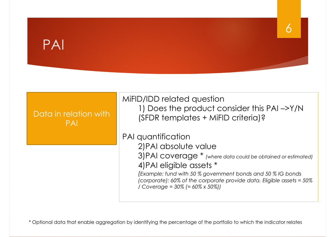### PAI



6

\* Optional data that enable aggregation by identifying the percentage of the portfolio to which the indicator relates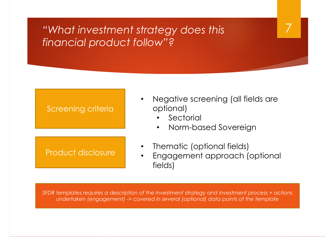### *"What investment strategy does this financial product follow"?*

#### Screening criteria

#### Product disclosure

• Negative screening (all fields are optional)

7

- Sectorial
- Norm-based Sovereign
- Thematic (optional fields)
- Engagement approach (optional fields)

*SFDR templates requires a description of the investment strategy and investment process + actions undertaken (engagement) -> covered in several (optional) data points of the template*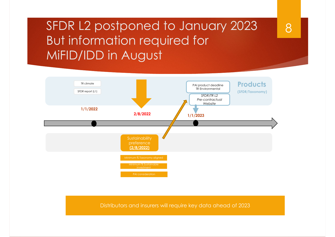### SFDR L2 postponed to January 2023 But information required for MiFID/IDD in August

8



Distributors and insurers will require key data ahead of 2023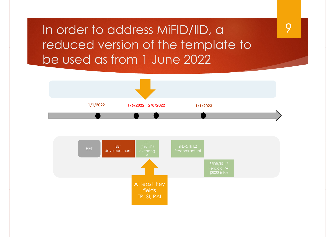In order to address MiFID/IID, a reduced version of the template to be used as from 1 June 2022



### 9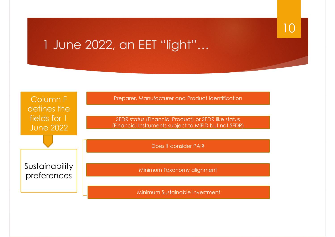

### 1 June 2022, an EET "light"…